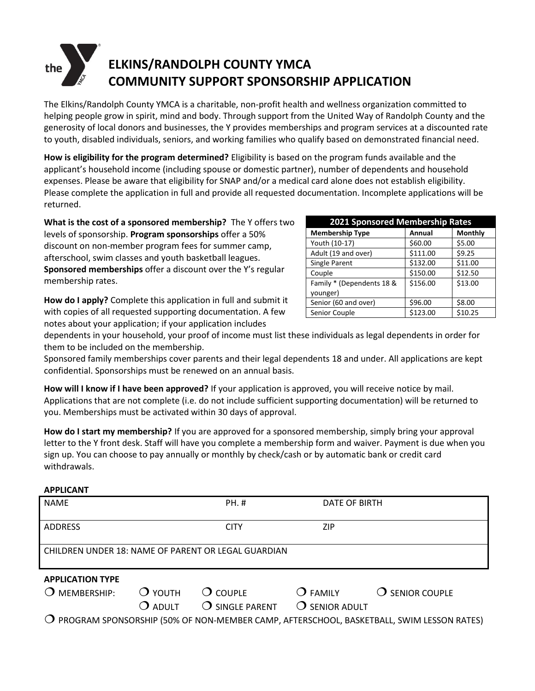# **ELKINS/RANDOLPH COUNTY YMCA COMMUNITY SUPPORT SPONSORSHIP APPLICATION**

The Elkins/Randolph County YMCA is a charitable, non-profit health and wellness organization committed to helping people grow in spirit, mind and body. Through support from the United Way of Randolph County and the generosity of local donors and businesses, the Y provides memberships and program services at a discounted rate to youth, disabled individuals, seniors, and working families who qualify based on demonstrated financial need.

**How is eligibility for the program determined?** Eligibility is based on the program funds available and the applicant's household income (including spouse or domestic partner), number of dependents and household expenses. Please be aware that eligibility for SNAP and/or a medical card alone does not establish eligibility. Please complete the application in full and provide all requested documentation. Incomplete applications will be returned.

**What is the cost of a sponsored membership?** The Y offers two levels of sponsorship. **Program sponsorships** offer a 50% discount on non-member program fees for summer camp, afterschool, swim classes and youth basketball leagues. **Sponsored memberships** offer a discount over the Y's regular membership rates.

**Membership Type Annual Monthly** Youth (10-17) \$60.00 \$5.00 Adult (19 and over) | \$111.00 | \$9.25 Single Parent <br>  $\begin{array}{|c|c|c|c|c|} \hline \text{5132.00} & \text{511.00} \hline \end{array}$ Couple  $\begin{array}{|c|c|c|c|c|c|c|c|c|} \hline \text{5150.00} & \text{512.50} \end{array}$ Family \* (Dependents 18 & younger)  $$156.00$   $$13.00$ Senior (60 and over) | \$96.00 | \$8.00 Senior Couple \$123.00 \$10.25

**2021 Sponsored Membership Rates**

**How do I apply?** Complete this application in full and submit it with copies of all requested supporting documentation. A few notes about your application; if your application includes

dependents in your household, your proof of income must list these individuals as legal dependents in order for them to be included on the membership.

Sponsored family memberships cover parents and their legal dependents 18 and under. All applications are kept confidential. Sponsorships must be renewed on an annual basis.

**How will I know if I have been approved?** If your application is approved, you will receive notice by mail. Applications that are not complete (i.e. do not include sufficient supporting documentation) will be returned to you. Memberships must be activated within 30 days of approval.

**How do I start my membership?** If you are approved for a sponsored membership, simply bring your approval letter to the Y front desk. Staff will have you complete a membership form and waiver. Payment is due when you sign up. You can choose to pay annually or monthly by check/cash or by automatic bank or credit card withdrawals.

# **APPLICANT**

| <b>NAME</b>                                         |                                          | <b>PH.#</b>                                           | DATE OF BIRTH                                        |                          |  |
|-----------------------------------------------------|------------------------------------------|-------------------------------------------------------|------------------------------------------------------|--------------------------|--|
| <b>ADDRESS</b>                                      |                                          | <b>CITY</b>                                           | ZIP                                                  |                          |  |
| CHILDREN UNDER 18: NAME OF PARENT OR LEGAL GUARDIAN |                                          |                                                       |                                                      |                          |  |
| <b>APPLICATION TYPE</b>                             |                                          |                                                       |                                                      |                          |  |
| MEMBERSHIP:<br>~                                    | $\overline{O}$ YOUTH<br>$\bigcirc$ adult | $\overline{O}$ couple<br>$\overline{O}$ single parent | $\overline{O}$ FAMILY<br>$\overline{O}$ senior adult | $\bigcirc$ senior couple |  |

PROGRAM SPONSORSHIP (50% OF NON-MEMBER CAMP, AFTERSCHOOL, BASKETBALL, SWIM LESSON RATES)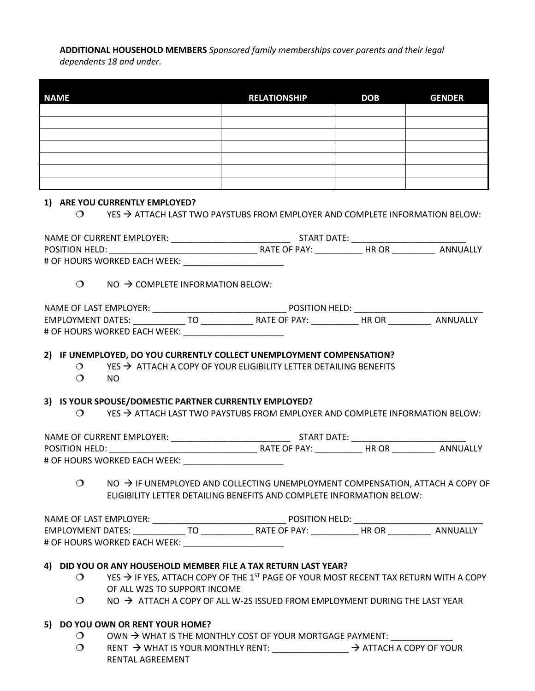**ADDITIONAL HOUSEHOLD MEMBERS** *Sponsored family memberships cover parents and their legal dependents 18 and under.* 

| <b>NAME</b> | <b>RELATIONSHIP</b> | <b>DOB</b> | <b>GENDER</b> |
|-------------|---------------------|------------|---------------|
|             |                     |            |               |
|             |                     |            |               |
|             |                     |            |               |
|             |                     |            |               |
|             |                     |            |               |
|             |                     |            |               |
|             |                     |            |               |

#### **1) ARE YOU CURRENTLY EMPLOYED?**

 $\circ$   $\rightarrow$  ATTACH LAST TWO PAYSTUBS FROM EMPLOYER AND COMPLETE INFORMATION BELOW:

| NAME OF CURRENT EMPLOYER:    |              | START DATE: |          |  |
|------------------------------|--------------|-------------|----------|--|
| <b>POSITION HELD:</b>        | RATE OF PAY: | HR OR       | ANNUALLY |  |
| # OF HOURS WORKED EACH WEEK: |              |             |          |  |

 $\bigcirc$  NO  $\rightarrow$  COMPLETE INFORMATION BELOW:

| NAME OF LAST EMPLOYER:       |  | <b>POSITION HELD:</b> |       |          |  |
|------------------------------|--|-----------------------|-------|----------|--|
| <b>EMPLOYMENT DATES:</b>     |  | RATE OF PAY:          | HR OR | ANNUALLY |  |
| # OF HOURS WORKED EACH WEEK: |  |                       |       |          |  |

# **2) IF UNEMPLOYED, DO YOU CURRENTLY COLLECT UNEMPLOYMENT COMPENSATION?**

- $\circ$  YES  $\rightarrow$  ATTACH A COPY OF YOUR ELIGIBILITY LETTER DETAILING BENEFITS
- $O$  NO

#### **3) IS YOUR SPOUSE/DOMESTIC PARTNER CURRENTLY EMPLOYED?**

 $\bigcirc$  YES  $\rightarrow$  ATTACH LAST TWO PAYSTUBS FROM EMPLOYER AND COMPLETE INFORMATION BELOW:

NAME OF CURRENT EMPLOYER: \_\_\_\_\_\_\_\_\_\_\_\_\_\_\_\_\_\_\_\_\_\_\_\_\_ START DATE: \_\_\_\_\_\_\_\_\_\_\_\_\_\_\_\_\_\_\_\_\_\_\_\_ POSITION HELD: \_\_\_\_\_\_\_\_\_\_\_\_\_\_\_\_\_\_\_\_\_\_\_\_\_\_\_\_\_\_\_ RATE OF PAY: \_\_\_\_\_\_\_\_\_\_ HR OR \_\_\_\_\_\_\_\_\_ ANNUALLY # OF HOURS WORKED EACH WEEK:

 $\bigcirc$  NO  $\rightarrow$  IF UNEMPLOYED AND COLLECTING UNEMPLOYMENT COMPENSATION, ATTACH A COPY OF ELIGIBILITY LETTER DETAILING BENEFITS AND COMPLETE INFORMATION BELOW:

NAME OF LAST EMPLOYER: \_\_\_\_\_\_\_\_\_\_\_\_\_\_\_\_\_\_\_\_\_\_\_\_\_\_\_\_ POSITION HELD: \_\_\_\_\_\_\_\_\_\_\_\_\_\_\_\_\_\_\_\_\_\_\_\_\_\_\_ EMPLOYMENT DATES: \_\_\_\_\_\_\_\_\_\_\_ TO \_\_\_\_\_\_\_\_\_\_\_ RATE OF PAY: \_\_\_\_\_\_\_\_\_\_ HR OR \_\_\_\_\_\_\_\_\_ ANNUALLY # OF HOURS WORKED EACH WEEK:

# **4) DID YOU OR ANY HOUSEHOLD MEMBER FILE A TAX RETURN LAST YEAR?**

- $\circ$  YES  $\rightarrow$  IF YES, ATTACH COPY OF THE 1<sup>ST</sup> PAGE OF YOUR MOST RECENT TAX RETURN WITH A COPY OF ALL W2S TO SUPPORT INCOME
- $\bigcirc$  NO  $\rightarrow$  ATTACH A COPY OF ALL W-2S ISSUED FROM EMPLOYMENT DURING THE LAST YEAR

# **5) DO YOU OWN OR RENT YOUR HOME?**

- O OWN  $\rightarrow$  WHAT IS THE MONTHLY COST OF YOUR MORTGAGE PAYMENT:
- O RENT  $\rightarrow$  WHAT IS YOUR MONTHLY RENT:  $\rightarrow$  ATTACH A COPY OF YOUR RENTAL AGREEMENT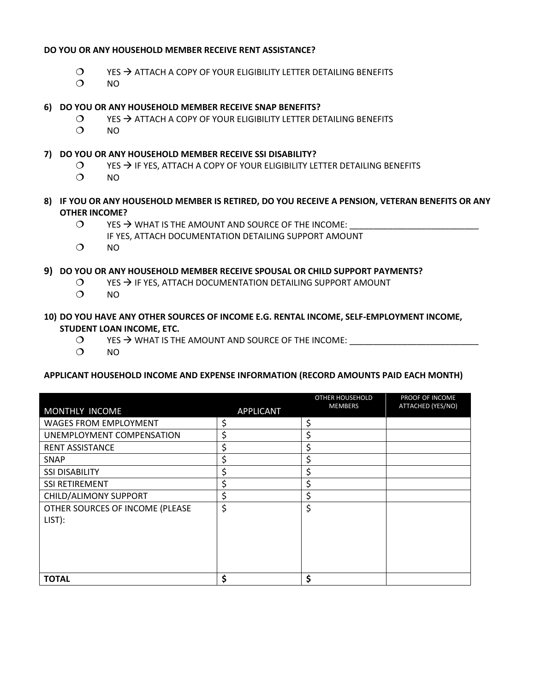#### **DO YOU OR ANY HOUSEHOLD MEMBER RECEIVE RENT ASSISTANCE?**

- $\overline{O}$  YES  $\rightarrow$  ATTACH A COPY OF YOUR ELIGIBILITY LETTER DETAILING BENEFITS
- $O$  NO
- **6) DO YOU OR ANY HOUSEHOLD MEMBER RECEIVE SNAP BENEFITS?**
	- $\circ$  YES  $\rightarrow$  ATTACH A COPY OF YOUR ELIGIBILITY LETTER DETAILING BENEFITS
	- $O$  NO

#### **7) DO YOU OR ANY HOUSEHOLD MEMBER RECEIVE SSI DISABILITY?**

- $\circ$  YES  $\rightarrow$  IF YES, ATTACH A COPY OF YOUR ELIGIBILITY LETTER DETAILING BENEFITS
- $O$  NO
- **8) IF YOU OR ANY HOUSEHOLD MEMBER IS RETIRED, DO YOU RECEIVE A PENSION, VETERAN BENEFITS OR ANY OTHER INCOME?**
	- $\bigcirc$  YES  $\rightarrow$  WHAT IS THE AMOUNT AND SOURCE OF THE INCOME:
		- IF YES, ATTACH DOCUMENTATION DETAILING SUPPORT AMOUNT
	- $O$  NO

# **9) DO YOU OR ANY HOUSEHOLD MEMBER RECEIVE SPOUSAL OR CHILD SUPPORT PAYMENTS?**

- $O$  YES  $\rightarrow$  IF YES, ATTACH DOCUMENTATION DETAILING SUPPORT AMOUNT
- $O$  NO

# **10) DO YOU HAVE ANY OTHER SOURCES OF INCOME E.G. RENTAL INCOME, SELF-EMPLOYMENT INCOME, STUDENT LOAN INCOME, ETC.**

- $\bigcirc$  YES  $\rightarrow$  WHAT IS THE AMOUNT AND SOURCE OF THE INCOME:
- $O$  NO

#### **APPLICANT HOUSEHOLD INCOME AND EXPENSE INFORMATION (RECORD AMOUNTS PAID EACH MONTH)**

|                                 |                  | OTHER HOUSEHOLD | PROOF OF INCOME   |
|---------------------------------|------------------|-----------------|-------------------|
| MONTHLY INCOME                  | <b>APPLICANT</b> | <b>MEMBERS</b>  | ATTACHED (YES/NO) |
| <b>WAGES FROM EMPLOYMENT</b>    | \$               | \$              |                   |
| UNEMPLOYMENT COMPENSATION       | \$               | \$              |                   |
| <b>RENT ASSISTANCE</b>          | \$               | \$              |                   |
| <b>SNAP</b>                     | \$               | \$              |                   |
| <b>SSI DISABILITY</b>           | \$               | \$              |                   |
| <b>SSI RETIREMENT</b>           | \$               | \$              |                   |
| CHILD/ALIMONY SUPPORT           | \$               | \$              |                   |
| OTHER SOURCES OF INCOME (PLEASE | \$               | \$              |                   |
| LIST):                          |                  |                 |                   |
|                                 |                  |                 |                   |
|                                 |                  |                 |                   |
|                                 |                  |                 |                   |
|                                 |                  |                 |                   |
| <b>TOTAL</b>                    | \$               | \$              |                   |